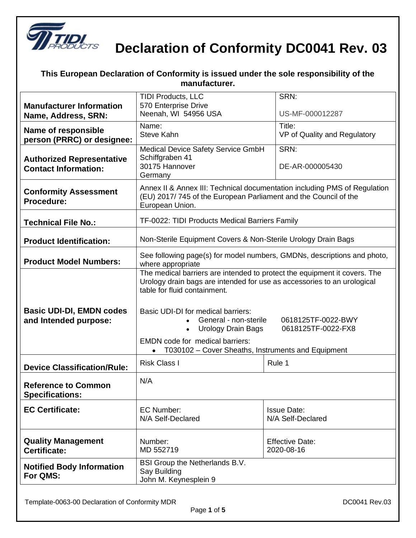

| manufacturer.                                                   |                                                                                                                                                                                                                                                                                                                                                                                               |                                          |
|-----------------------------------------------------------------|-----------------------------------------------------------------------------------------------------------------------------------------------------------------------------------------------------------------------------------------------------------------------------------------------------------------------------------------------------------------------------------------------|------------------------------------------|
| <b>Manufacturer Information</b><br>Name, Address, SRN:          | <b>TIDI Products, LLC</b><br>570 Enterprise Drive<br>Neenah, WI 54956 USA                                                                                                                                                                                                                                                                                                                     | SRN:<br>US-MF-000012287                  |
| <b>Name of responsible</b><br>person (PRRC) or designee:        | Name:<br>Steve Kahn                                                                                                                                                                                                                                                                                                                                                                           | Title:<br>VP of Quality and Regulatory   |
| <b>Authorized Representative</b><br><b>Contact Information:</b> | Medical Device Safety Service GmbH<br>Schiffgraben 41<br>30175 Hannover<br>Germany                                                                                                                                                                                                                                                                                                            | SRN:<br>DE-AR-000005430                  |
| <b>Conformity Assessment</b><br>Procedure:                      | Annex II & Annex III: Technical documentation including PMS of Regulation<br>(EU) 2017/745 of the European Parliament and the Council of the<br>European Union.                                                                                                                                                                                                                               |                                          |
| <b>Technical File No.:</b>                                      | TF-0022: TIDI Products Medical Barriers Family                                                                                                                                                                                                                                                                                                                                                |                                          |
| <b>Product Identification:</b>                                  | Non-Sterile Equipment Covers & Non-Sterile Urology Drain Bags                                                                                                                                                                                                                                                                                                                                 |                                          |
| <b>Product Model Numbers:</b>                                   | See following page(s) for model numbers, GMDNs, descriptions and photo,<br>where appropriate                                                                                                                                                                                                                                                                                                  |                                          |
| <b>Basic UDI-DI, EMDN codes</b><br>and Intended purpose:        | The medical barriers are intended to protect the equipment it covers. The<br>Urology drain bags are intended for use as accessories to an urological<br>table for fluid containment.<br>Basic UDI-DI for medical barriers:<br>General - non-sterile<br><b>Urology Drain Bags</b><br><b>EMDN</b> code for medical barriers:<br>T030102 - Cover Sheaths, Instruments and Equipment<br>$\bullet$ | 0618125TF-0022-BWY<br>0618125TF-0022-FX8 |
| <b>Device Classification/Rule:</b>                              | <b>Risk Class I</b>                                                                                                                                                                                                                                                                                                                                                                           | Rule 1                                   |
| <b>Reference to Common</b><br><b>Specifications:</b>            | N/A                                                                                                                                                                                                                                                                                                                                                                                           |                                          |
| <b>EC Certificate:</b>                                          | <b>EC Number:</b><br>N/A Self-Declared                                                                                                                                                                                                                                                                                                                                                        | <b>Issue Date:</b><br>N/A Self-Declared  |
| <b>Quality Management</b><br>Certificate:                       | Number:<br>MD 552719                                                                                                                                                                                                                                                                                                                                                                          | <b>Effective Date:</b><br>2020-08-16     |
| <b>Notified Body Information</b><br>For QMS:                    | BSI Group the Netherlands B.V.<br>Say Building<br>John M. Keynesplein 9                                                                                                                                                                                                                                                                                                                       |                                          |

**This European Declaration of Conformity is issued under the sole responsibility of the**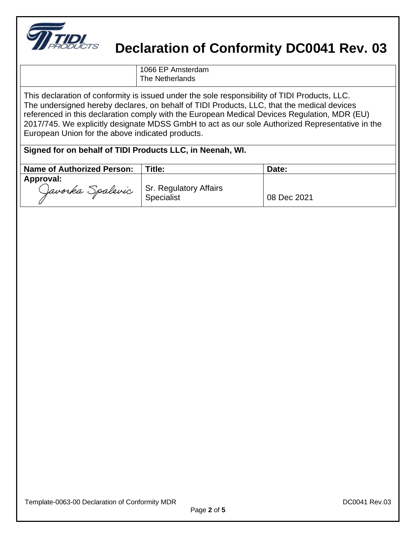

1066 EP Amsterdam The Netherlands

This declaration of conformity is issued under the sole responsibility of TIDI Products, LLC. The undersigned hereby declares, on behalf of TIDI Products, LLC, that the medical devices referenced in this declaration comply with the European Medical Devices Regulation, MDR (EU) 2017/745. We explicitly designate MDSS GmbH to act as our sole Authorized Representative in the European Union for the above indicated products.

| <b>Name of Authorized Person:</b>                    | Title:     | Date:       |
|------------------------------------------------------|------------|-------------|
| Approval:<br>Javorka Spalevic Sr. Regulatory Affairs | Specialist | 08 Dec 2021 |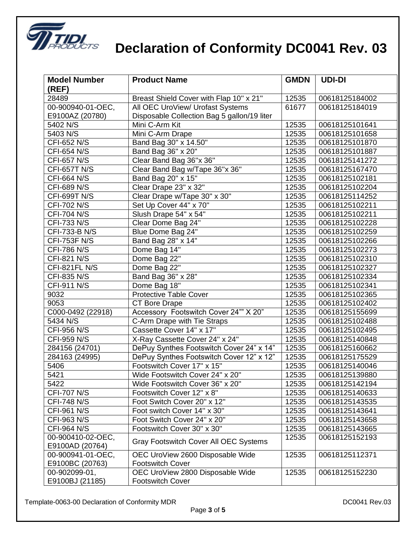

| <b>Model Number</b>                  | <b>Product Name</b>                         | <b>GMDN</b>    | <b>UDI-DI</b>                    |
|--------------------------------------|---------------------------------------------|----------------|----------------------------------|
| (REF)<br>28489                       |                                             |                |                                  |
|                                      | Breast Shield Cover with Flap 10" x 21"     | 12535<br>61677 | 00618125184002                   |
| 00-900940-01-OEC,<br>E9100AZ (20780) | All OEC UroView/ Urofast Systems            |                | 00618125184019                   |
| 5402 N/S                             | Disposable Collection Bag 5 gallon/19 liter |                |                                  |
| 5403 N/S                             | Mini C-Arm Kit                              | 12535          | 00618125101641                   |
|                                      | Mini C-Arm Drape                            | 12535          | 00618125101658                   |
| CFI-652 N/S<br>CFI-654 N/S           | Band Bag 30" x 14.50"<br>Band Bag 36" x 20" | 12535          | 00618125101870                   |
|                                      |                                             | 12535<br>12535 | 00618125101887<br>00618125141272 |
| <b>CFI-657 N/S</b>                   | Clear Band Bag 36"x 36"                     |                |                                  |
| <b>CFI-657T N/S</b>                  | Clear Band Bag w/Tape 36"x 36"              | 12535          | 00618125167470                   |
| CFI-664 N/S                          | Band Bag 20" x 15"                          | 12535          | 00618125102181                   |
| CFI-689 N/S                          | Clear Drape 23" x 32"                       | 12535          | 00618125102204                   |
| <b>CFI-699T N/S</b>                  | Clear Drape w/Tape 30" x 30"                | 12535          | 00618125114252                   |
| CFI-702 N/S                          | Set Up Cover 44" x 70"                      | 12535          | 00618125102211                   |
| <b>CFI-704 N/S</b>                   | Slush Drape 54" x 54"                       | 12535          | 00618125102211                   |
| CFI-733 N/S                          | Clear Dome Bag 24"                          | 12535          | 00618125102228                   |
| CFI-733-B N/S                        | Blue Dome Bag 24"                           | 12535          | 00618125102259                   |
| <b>CFI-753F N/S</b>                  | Band Bag 28" x 14"                          | 12535          | 00618125102266                   |
| <b>CFI-786 N/S</b>                   | Dome Bag 14"                                | 12535          | 00618125102273                   |
| <b>CFI-821 N/S</b>                   | Dome Bag 22"                                | 12535          | 00618125102310                   |
| CFI-821FL N/S                        | Dome Bag 22"                                | 12535          | 00618125102327                   |
| CFI-835 N/S                          | Band Bag 36" x 28"                          | 12535          | 00618125102334                   |
| <b>CFI-911 N/S</b>                   | Dome Bag 18"                                | 12535          | 00618125102341                   |
| 9032                                 | <b>Protective Table Cover</b>               | 12535          | 00618125102365                   |
| 9053                                 | <b>CT Bore Drape</b>                        | 12535          | 00618125102402                   |
| C000-0492 (22918)                    | Accessory Footswitch Cover 24"" X 20"       | 12535          | 00618125155699                   |
| 5434 N/S                             | C-Arm Drape with Tie Straps                 | 12535          | 00618125102488                   |
| CFI-956 N/S                          | Cassette Cover 14" x 17"                    | 12535          | 00618125102495                   |
| CFI-959 N/S                          | X-Ray Cassette Cover 24" x 24"              | 12535          | 00618125140848                   |
| 284156 (24701)                       | DePuy Synthes Footswitch Cover 24" x 14"    | 12535          | 00618125160662                   |
| 284163 (24995)                       | DePuy Synthes Footswitch Cover 12" x 12"    | 12535          | 00618125175529                   |
| 5406                                 | Footswitch Cover 17" x 15"                  | 12535          | 00618125140046                   |
| 5421                                 | Wide Footswitch Cover 24" x 20"             | 12535          | 00618125139880                   |
| 5422                                 | Wide Footswitch Cover 36" x 20"             | 12535          | 00618125142194                   |
| <b>CFI-707 N/S</b>                   | Footswitch Cover 12" x 8"                   | 12535          | 00618125140633                   |
| <b>CFI-748 N/S</b>                   | Foot Switch Cover 20" x 12"                 | 12535          | 00618125143535                   |
| CFI-961 N/S                          | Foot switch Cover 14" x 30"                 | 12535          | 00618125143641                   |
| CFI-963 N/S                          | Foot Switch Cover 24" x 20"                 | 12535          | 00618125143658                   |
| <b>CFI-964 N/S</b>                   | Footswitch Cover 30" x 30"                  | 12535          | 00618125143665                   |
| 00-900410-02-OEC,                    |                                             | 12535          | 00618125152193                   |
| E9100AD (20764)                      | Gray Footswitch Cover All OEC Systems       |                |                                  |
| 00-900941-01-OEC,                    | OEC UroView 2600 Disposable Wide            | 12535          | 00618125112371                   |
| E9100BC (20763)                      | <b>Footswitch Cover</b>                     |                |                                  |
| 00-902099-01,                        | OEC UroView 2800 Disposable Wide            | 12535          | 00618125152230                   |
| E9100BJ (21185)                      | <b>Footswitch Cover</b>                     |                |                                  |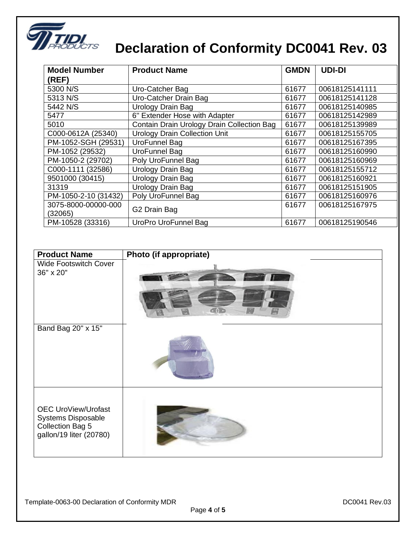

| <b>Model Number</b>  | <b>Product Name</b>                        | <b>GMDN</b> | <b>UDI-DI</b>  |
|----------------------|--------------------------------------------|-------------|----------------|
| (REF)                |                                            |             |                |
| 5300 N/S             | Uro-Catcher Bag                            | 61677       | 00618125141111 |
| 5313 N/S             | Uro-Catcher Drain Bag                      | 61677       | 00618125141128 |
| 5442 N/S             | Urology Drain Bag                          | 61677       | 00618125140985 |
| 5477                 | 6" Extender Hose with Adapter              | 61677       | 00618125142989 |
| 5010                 | Contain Drain Urology Drain Collection Bag | 61677       | 00618125139989 |
| C000-0612A (25340)   | <b>Urology Drain Collection Unit</b>       | 61677       | 00618125155705 |
| PM-1052-SGH (29531)  | UroFunnel Bag                              | 61677       | 00618125167395 |
| PM-1052 (29532)      | UroFunnel Bag                              | 61677       | 00618125160990 |
| PM-1050-2 (29702)    | Poly UroFunnel Bag                         | 61677       | 00618125160969 |
| C000-1111 (32586)    | <b>Urology Drain Bag</b>                   | 61677       | 00618125155712 |
| 9501000 (30415)      | Urology Drain Bag                          | 61677       | 00618125160921 |
| 31319                | Urology Drain Bag                          | 61677       | 00618125151905 |
| PM-1050-2-10 (31432) | Poly UroFunnel Bag                         | 61677       | 00618125160976 |
| 3075-8000-00000-000  | G2 Drain Bag                               | 61677       | 00618125167975 |
| (32065)              |                                            |             |                |
| PM-10528 (33316)     | UroPro UroFunnel Bag                       | 61677       | 00618125190546 |

| <b>Product Name</b>                                                                             | Photo (if appropriate) |
|-------------------------------------------------------------------------------------------------|------------------------|
| <b>Wide Footswitch Cover</b><br>36" x 20"                                                       |                        |
| Band Bag 20" x 15"                                                                              |                        |
| <b>OEC UroView/Urofast</b><br>Systems Disposable<br>Collection Bag 5<br>gallon/19 liter (20780) |                        |